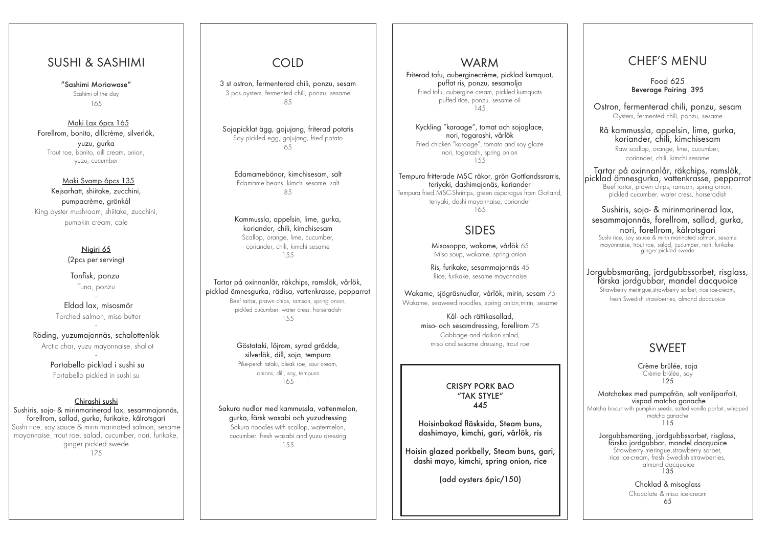## WARM

Friterad tofu, auberginecrème, picklad kumquat, puffat ris, ponzu, sesamolja Fried tofu, aubergine cream, pickled kumquats puffed rice, ponzu, sesame oil 145

Kyckling "karaage", tomat och sojaglace, nori, togarashi, vårlök Fried chicken "karaage", tomato and soy glaze nori, togarashi, spring onion 155

Maki Lax 6pcs 165 Forellrom, bonito, dillcrème, silverlök, yuzu, gurka Trout roe, bonito, dill cream, onion, yuzu, cucumber

> Tempura fritterade MSC räkor, grön Gottlandssrarris, teriyaki, dashimajonäs, koriander Tempura fried MSC-Shrimps, green asparagus from Gotland, teriyaki, dashi mayonnaise, coriander 165

## SUSHI & SASHIMI

"Sashimi Moriawase" Sashimi of the day 165

#### Maki Svamp 6pcs 135

Kejsarhatt, shiitake, zucchini, pumpacrème, grönkål King oyster mushroom, shiitake, zucchini, pumpkin cream, cale

> Nigiri 65 (2pcs per serving)

 Tonfisk, ponzu Tuna, ponzu -

Eldad lax, misosmör Torched salmon, miso butter -

Röding, yuzumajonnäs, schalottenlök Arctic char, yuzu mayonnaise, shallot

-

Portabello picklad i sushi su Portabello pickled in sushi su

#### Chirashi sushi

Sushiris, soja- & mirinmarinerad lax, sesammajonnäs, forellrom, sallad, gurka, furikake, kålrotsgari Sushi rice, soy sauce & mirin marinated salmon, sesame mayonnaise, trout roe, salad, cucumber, nori, furikake, ginger pickled swede 175

# COLD

3 st ostron, fermenterad chili, ponzu, sesam 3 pcs oysters, fermented chili, ponzu, sesame 85

Sojapicklat ägg, gojujang, friterad potatis Soy pickled egg, gojujang, fried potato 65

Edamamebönor, kimchisesam, salt Edamame beans, kimchi sesame, salt 85

Kammussla, appelsin, lime, gurka, koriander, chili, kimchisesam Scallop, orange, lime, cucumber, coriander, chili, kimchi sesame 155

Tartar på oxinnanlår, räkchips, ramslök, vårlök, picklad ämnesgurka, rädisa, vattenkrasse, pepparrot Beef tartar, prawn chips, ramson, spring onion, pickled cucumber, water cress, horseradish 155

> Göstataki, löjrom, syrad grädde, silverlök, dill, soja, tempura Pike-perch tataki, bleak roe, sour cream, onions, dill, soy, tempura 165

Sakura nudlar med kammussla, vattenmelon, gurka, färsk wasabi och yuzudressing Sakura noodles with scallop, watermelon, cucumber, fresh wasabi and yuzu dressing 155

# CHEF'S MENU

Food 625 Beverage Pairing 395

Ostron, fermenterad chili, ponzu, sesam Oysters, fermented chili, ponzu, sesame

Rå kammussla, appelsin, lime, gurka, koriander, chili, kimchisesam

Raw scallop, orange, lime, cucumber, coriander, chili, kimchi sesame

Tartar på oxinnanlår, räkchips, ramslök, picklad ämnesgurka, vattenkrasse, pepparrot Beef tartar, prawn chips, ramson, spring onion, pickled cucumber, water cress, horseradish

Sushiris, soja- & mirinmarinerad lax, sesammajonnäs, forellrom, sallad, gurka, nori, forellrom, kålrotsgari

Sushi rice, soy sauce & mirin marinated salmon, sesame mayonnaise, trout roe, salad, cucumber, nori, furikake, ginger pickled swede

Jorgubbsmaräng, jordgubbssorbet, risglass, färska jordgubbar, mandel dacquoice

Strawberry meringue,strawberry sorbet, rice ice-cream, fresh Swedish strawberries, almond dacquoice

# SWEET

Crème brûlée, soja Crème brûlée, soy 125

Matchakex med pumpafrön, salt vaniljparfait, vispad matcha ganache

Matcha biscuit with pumpkin seeds, salted vanilla parfait, whipped matcha ganache 115

Jorgubbsmaräng, jordgubbssorbet, risglass, färska jordgubbar, mandel dacquoice Strawberry meringue,strawberry sorbet, rice ice-cream, fresh Swedish strawberries,

> almond dacquoice 135

Choklad & misoglass

Chocolate & miso ice-cream 65

#### CRISPY PORK BAO "TAK STYLE" 445

 $\overline{\phantom{a}}$ 

Hoisinbakad fläsksida, Steam buns, dashimayo, kimchi, gari, vårlök, ris

Hoisin glazed porkbelly, Steam buns, gari, dashi mayo, kimchi, spring onion, rice

(add oysters 6pic/150)

# SIDES

Misosoppa, wakame, vårlök 65 Miso soup, wakame, spring onion

Ris, furikake, sesammajonnäs 45 Rice, furikake, sesame mayonnaise

Wakame, sjögräsnudlar, vårlök, mirin, sesam 75 Wakame, seaweed noodles, spring onion,mirin, sesame

> Kål- och rättikasallad, miso- och sesamdressing, forellrom 75 Cabbage and daikon salad, miso and sesame dressing, trout roe